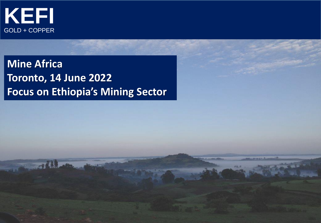

**Mine Africa Toronto, 14 June 2022 Focus on Ethiopia's Mining Sector**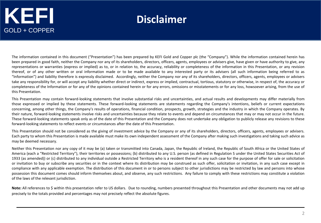#### **Disclaimer**

The information contained in this document ("Presentation") has been prepared by KEFI Gold and Copper plc (the "Company"). While the information contained herein has been prepared in good faith, neither the Company nor any of its shareholders, directors, officers, agents, employees or advisers give, have given or have authority to give, any representations or warranties (express or implied) as to, or in relation to, the accuracy, reliability or completeness of the information in this Presentation, or any revision thereof, or of any other written or oral information made or to be made available to any interested party or its advisers (all such information being referred to as "Information") and liability therefore is expressly disclaimed. Accordingly, neither the Company nor any of its shareholders, directors, officers, agents, employees or advisers take any responsibility for, or will accept any liability whether direct or indirect, express or implied, contractual, tortious, statutory or otherwise, in respect of, the accuracy or completeness of the Information or for any of the opinions contained herein or for any errors, omissions or misstatements or for any loss, howsoever arising, from the use of this Presentation.

This Presentation may contain forward-looking statements that involve substantial risks and uncertainties, and actual results and developments may differ materially from those expressed or implied by these statements. These forward-looking statements are statements regarding the Company's intentions, beliefs or current expectations concerning, among other things, the Company's results of operations, financial condition, prospects, growth, strategies and the industry in which the Company operates. By their nature, forward-looking statements involve risks and uncertainties because they relate to events and depend on circumstances that may or may not occur in the future. These forward-looking statements speak only as of the date of this Presentation and the Company does not undertake any obligation to publicly release any revisions to these forward-looking statements to reflect events or circumstances after the date of this Presentation.

This Presentation should not be considered as the giving of investment advice by the Company or any of its shareholders, directors, officers, agents, employees or advisers. Each party to whom this Presentation is made available must make its own independent assessment of the Company after making such investigations and taking such advice as may be deemed necessary.

Neither this Presentation nor any copy of it may be (a) taken or transmitted into Canada, Japan, the Republic of Ireland, the Republic of South Africa or the United States of America (each a "Restricted Territory"), their territories or possessions; (b) distributed to any U.S. person (as defined in Regulation S under the United States Securities Act of 1933 (as amended)) or (c) distributed to any individual outside a Restricted Territory who is a resident thereof in any such case for the purpose of offer for sale or solicitation or invitation to buy or subscribe any securities or in the context where its distribution may be construed as such offer, solicitation or invitation, in any such case except in compliance with any applicable exemption. The distribution of this document in or to persons subject to other jurisdictions may be restricted by law and persons into whose possession this document comes should inform themselves about, and observe, any such restrictions. Any failure to comply with these restrictions may constitute a violation of the laws of the relevant jurisdiction.

Note: All references to \$ within this presentation refer to US dollars. Due to rounding, numbers presented throughout this Presentation and other documents may not add up precisely to the totals provided and percentages may not precisely reflect the absolute figures.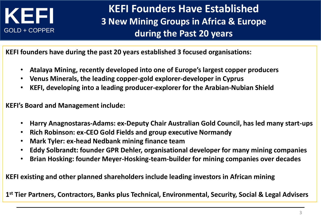

#### **KEFI Founders Have Established 3 New Mining Groups in Africa & Europe during the Past 20 years**

**KEFI founders have during the past 20 years established 3 focused organisations:**

- **Atalaya Mining, recently developed into one of Europe's largest copper producers**
- **Venus Minerals, the leading copper-gold explorer-developer in Cyprus**
- **KEFI, developing into a leading producer-explorer for the Arabian-Nubian Shield**

**KEFI's Board and Management include:**

- **Harry Anagnostaras-Adams: ex-Deputy Chair Australian Gold Council, has led many start-ups**
- **Rich Robinson: ex-CEO Gold Fields and group executive Normandy**
- **Mark Tyler: ex-head Nedbank mining finance team**
- **Eddy Solbrandt: founder GPR Dehler, organisational developer for many mining companies**
- **Brian Hosking: founder Meyer-Hosking-team-builder for mining companies over decades**

**KEFI existing and other planned shareholders include leading investors in African mining**

**1 st Tier Partners, Contractors, Banks plus Technical, Environmental, Security, Social & Legal Advisers**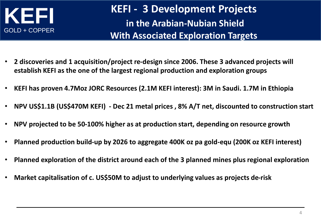

**KEFI - 3 Development Projects in the Arabian-Nubian Shield With Associated Exploration Targets** 

- **2 discoveries and 1 acquisition/project re-design since 2006. These 3 advanced projects will establish KEFI as the one of the largest regional production and exploration groups**
- **KEFI has proven 4.7Moz JORC Resources (2.1M KEFI interest): 3M in Saudi. 1.7M in Ethiopia**
- **NPV US\$1.1B (US\$470M KEFI) - Dec 21 metal prices , 8% A/T net, discounted to construction start**
- **NPV projected to be 50-100% higher as at production start, depending on resource growth**
- **Planned production build-up by 2026 to aggregate 400K oz pa gold-equ (200K oz KEFI interest)**
- **Planned exploration of the district around each of the 3 planned mines plus regional exploration**
- **Market capitalisation of c. US\$50M to adjust to underlying values as projects de-risk**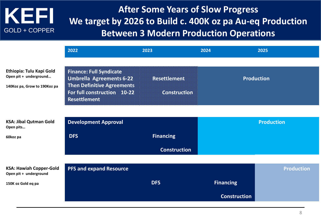#### **After Some Years of Slow Progress We target by 2026 to Build c. 400K oz pa Au-eq Production Between 3 Modern Production Operations**

|                                                                                    | 2022                                                                                                                                                  | 2023                                       | 2024                | 2025              |
|------------------------------------------------------------------------------------|-------------------------------------------------------------------------------------------------------------------------------------------------------|--------------------------------------------|---------------------|-------------------|
| Ethiopia: Tulu Kapi Gold<br>Open pit + underground<br>140Koz pa, Grow to 190Koz pa | <b>Finance: Full Syndicate</b><br><b>Umbrella Agreements 6-22</b><br>Then Definitive Agreements<br>For full construction 10-22<br><b>Resettlement</b> | <b>Resettlement</b><br><b>Construction</b> |                     | <b>Production</b> |
|                                                                                    |                                                                                                                                                       |                                            |                     |                   |
| <b>KSA: Jibal Qutman Gold</b><br>Open pits                                         | <b>Development Approval</b>                                                                                                                           |                                            |                     | <b>Production</b> |
| 60koz pa                                                                           | <b>DFS</b>                                                                                                                                            | <b>Financing</b>                           |                     |                   |
|                                                                                    |                                                                                                                                                       | <b>Construction</b>                        |                     |                   |
|                                                                                    |                                                                                                                                                       |                                            |                     |                   |
| <b>KSA: Hawiah Copper-Gold</b><br>Open pit + underground                           | <b>PFS and expand Resource</b>                                                                                                                        |                                            |                     | <b>Production</b> |
| 150K oz Gold eq pa                                                                 |                                                                                                                                                       | <b>DFS</b>                                 | <b>Financing</b>    |                   |
|                                                                                    |                                                                                                                                                       |                                            | <b>Construction</b> |                   |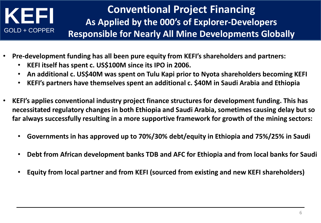#### **Conventional Project Financing As Applied by the 000's of Explorer-Developers Responsible for Nearly All Mine Developments Globally**

- **Pre-development funding has all been pure equity from KEFI's shareholders and partners:**
	- **KEFI itself has spent c. US\$100M since its IPO in 2006.**
	- **An additional c. US\$40M was spent on Tulu Kapi prior to Nyota shareholders becoming KEFI**
	- **KEFI's partners have themselves spent an additional c. \$40M in Saudi Arabia and Ethiopia**
- **KEFI's applies conventional industry project finance structures for development funding. This has necessitated regulatory changes in both Ethiopia and Saudi Arabia, sometimes causing delay but so far always successfully resulting in a more supportive framework for growth of the mining sectors:**
	- **Governments in has approved up to 70%/30% debt/equity in Ethiopia and 75%/25% in Saudi**
	- **Debt from African development banks TDB and AFC for Ethiopia and from local banks for Saudi**
	- **Equity from local partner and from KEFI (sourced from existing and new KEFI shareholders)**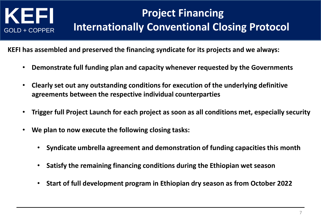## **Project Financing Internationally Conventional Closing Protocol**

**KEFI has assembled and preserved the financing syndicate for its projects and we always:**

- **Demonstrate full funding plan and capacity whenever requested by the Governments**
- **Clearly set out any outstanding conditions for execution of the underlying definitive agreements between the respective individual counterparties**
- **Trigger full Project Launch for each project as soon as all conditions met, especially security**
- **We plan to now execute the following closing tasks:**
	- **Syndicate umbrella agreement and demonstration of funding capacities this month**
	- **Satisfy the remaining financing conditions during the Ethiopian wet season**
	- **Start of full development program in Ethiopian dry season as from October 2022**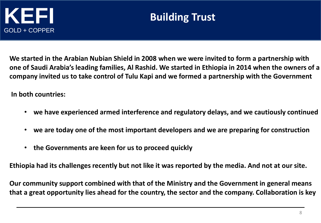

#### **Building Trust**

**We started in the Arabian Nubian Shield in 2008 when we were invited to form a partnership with one of Saudi Arabia's leading families, Al Rashid. We started in Ethiopia in 2014 when the owners of a company invited us to take control of Tulu Kapi and we formed a partnership with the Government**

**In both countries:**

- **we have experienced armed interference and regulatory delays, and we cautiously continued**
- **we are today one of the most important developers and we are preparing for construction**
- **the Governments are keen for us to proceed quickly**

**Ethiopia had its challenges recently but not like it was reported by the media. And not at our site.**

**Our community support combined with that of the Ministry and the Government in general means that a great opportunity lies ahead for the country, the sector and the company. Collaboration is key**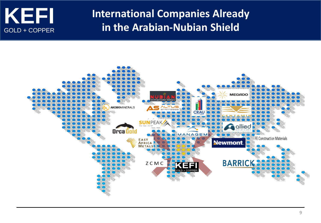

#### **International Companies Already in the Arabian-Nubian Shield**

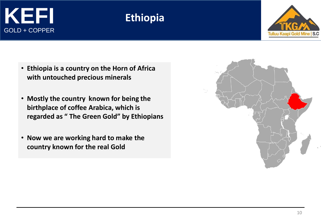#### **Ethiopia**



- **Ethiopia is a country on the Horn of Africa with untouched precious minerals**
- **Mostly the country known for being the birthplace of coffee Arabica, which is regarded as " The Green Gold" by Ethiopians**
- **Now we are working hard to make the country known for the real Gold**

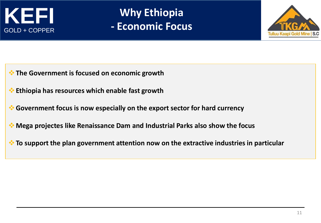

**Why Ethiopia - Economic Focus**



- ❖**The Government is focused on economic growth**
- ❖**Ethiopia has resources which enable fast growth**
- ❖**Government focus is now especially on the export sector for hard currency**
- ❖**Mega projectes like Renaissance Dam and Industrial Parks also show the focus**
- ❖**To support the plan government attention now on the extractive industries in particular**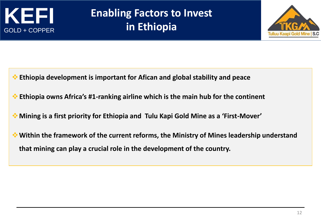

### **Enabling Factors to Invest in Ethiopia**



- ❖**Ethiopia development is important for Afican and global stability and peace**
- ❖**Ethiopia owns Africa's #1-ranking airline which is the main hub for the continent**
- ❖**Mining is a first priority for Ethiopia and Tulu Kapi Gold Mine as a 'First-Mover'**
- ❖**Within the framework of the current reforms, the Ministry of Mines leadership understand that mining can play a crucial role in the development of the country.**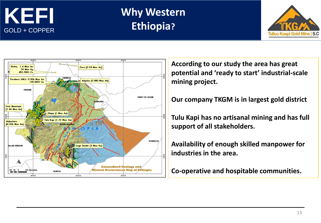

### **Why Western Ethiopia?**





**According to our study the area has great potential and 'ready to start' industrial-scale mining project.** 

#### **Our company TKGM is in largest gold district**

**Tulu Kapi has no artisanal mining and has full support of all stakeholders.**

**Availability of enough skilled manpower for industries in the area.**

**Co-operative and hospitable communities.**